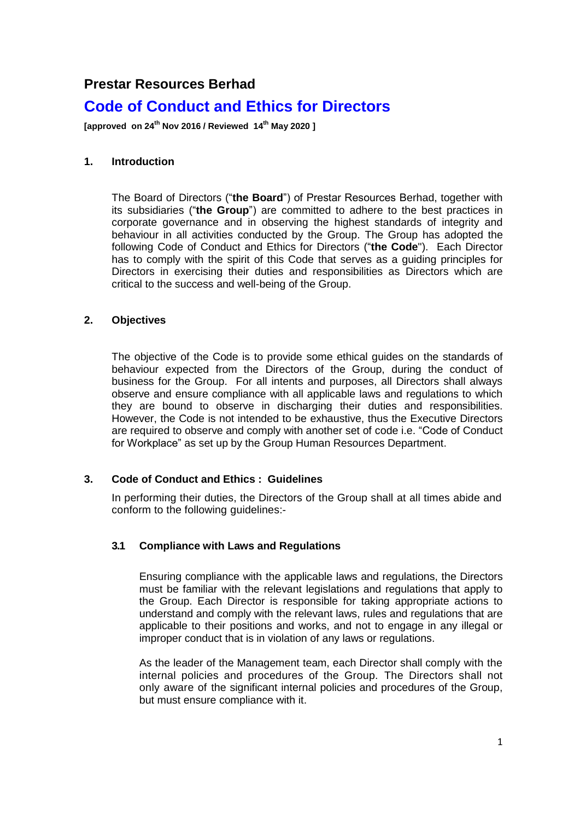# **Prestar Resources Berhad**

# **Code of Conduct and Ethics for Directors**

**[approved on 24th Nov 2016 / Reviewed 14th May 2020 ]**

### **1. Introduction**

The Board of Directors ("**the Board**") of Prestar Resources Berhad, together with its subsidiaries ("**the Group**") are committed to adhere to the best practices in corporate governance and in observing the highest standards of integrity and behaviour in all activities conducted by the Group. The Group has adopted the following Code of Conduct and Ethics for Directors ("**the Code**"). Each Director has to comply with the spirit of this Code that serves as a guiding principles for Directors in exercising their duties and responsibilities as Directors which are critical to the success and well-being of the Group.

#### **2. Objectives**

The objective of the Code is to provide some ethical guides on the standards of behaviour expected from the Directors of the Group, during the conduct of business for the Group. For all intents and purposes, all Directors shall always observe and ensure compliance with all applicable laws and regulations to which they are bound to observe in discharging their duties and responsibilities. However, the Code is not intended to be exhaustive, thus the Executive Directors are required to observe and comply with another set of code i.e. "Code of Conduct for Workplace" as set up by the Group Human Resources Department.

#### **3. Code of Conduct and Ethics : Guidelines**

In performing their duties, the Directors of the Group shall at all times abide and conform to the following guidelines:-

# **3.1 Compliance with Laws and Regulations**

Ensuring compliance with the applicable laws and regulations, the Directors must be familiar with the relevant legislations and regulations that apply to the Group. Each Director is responsible for taking appropriate actions to understand and comply with the relevant laws, rules and regulations that are applicable to their positions and works, and not to engage in any illegal or improper conduct that is in violation of any laws or regulations.

As the leader of the Management team, each Director shall comply with the internal policies and procedures of the Group. The Directors shall not only aware of the significant internal policies and procedures of the Group, but must ensure compliance with it.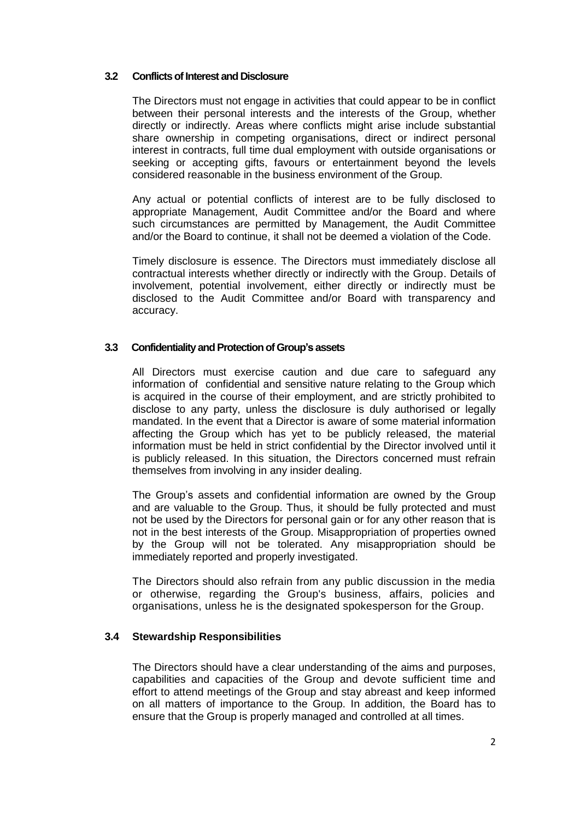#### **3.2 Conflicts of Interest and Disclosure**

The Directors must not engage in activities that could appear to be in conflict between their personal interests and the interests of the Group, whether directly or indirectly. Areas where conflicts might arise include substantial share ownership in competing organisations, direct or indirect personal interest in contracts, full time dual employment with outside organisations or seeking or accepting gifts, favours or entertainment beyond the levels considered reasonable in the business environment of the Group.

Any actual or potential conflicts of interest are to be fully disclosed to appropriate Management, Audit Committee and/or the Board and where such circumstances are permitted by Management, the Audit Committee and/or the Board to continue, it shall not be deemed a violation of the Code.

Timely disclosure is essence. The Directors must immediately disclose all contractual interests whether directly or indirectly with the Group. Details of involvement, potential involvement, either directly or indirectly must be disclosed to the Audit Committee and/or Board with transparency and accuracy.

#### **3.3 Confidentialityand Protection of Group's assets**

All Directors must exercise caution and due care to safeguard any information of confidential and sensitive nature relating to the Group which is acquired in the course of their employment, and are strictly prohibited to disclose to any party, unless the disclosure is duly authorised or legally mandated. In the event that a Director is aware of some material information affecting the Group which has yet to be publicly released, the material information must be held in strict confidential by the Director involved until it is publicly released. In this situation, the Directors concerned must refrain themselves from involving in any insider dealing.

The Group's assets and confidential information are owned by the Group and are valuable to the Group. Thus, it should be fully protected and must not be used by the Directors for personal gain or for any other reason that is not in the best interests of the Group. Misappropriation of properties owned by the Group will not be tolerated. Any misappropriation should be immediately reported and properly investigated.

The Directors should also refrain from any public discussion in the media or otherwise, regarding the Group's business, affairs, policies and organisations, unless he is the designated spokesperson for the Group.

#### **3.4 Stewardship Responsibilities**

The Directors should have a clear understanding of the aims and purposes, capabilities and capacities of the Group and devote sufficient time and effort to attend meetings of the Group and stay abreast and keep informed on all matters of importance to the Group. In addition, the Board has to ensure that the Group is properly managed and controlled at all times.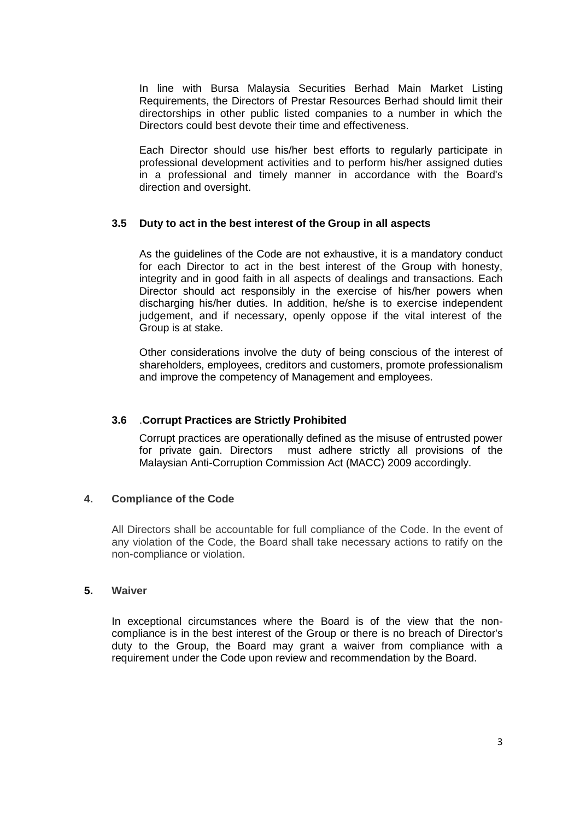In line with Bursa Malaysia Securities Berhad Main Market Listing Requirements, the Directors of Prestar Resources Berhad should limit their directorships in other public listed companies to a number in which the Directors could best devote their time and effectiveness.

Each Director should use his/her best efforts to regularly participate in professional development activities and to perform his/her assigned duties in a professional and timely manner in accordance with the Board's direction and oversight.

#### **3.5 Duty to act in the best interest of the Group in all aspects**

As the guidelines of the Code are not exhaustive, it is a mandatory conduct for each Director to act in the best interest of the Group with honesty, integrity and in good faith in all aspects of dealings and transactions. Each Director should act responsibly in the exercise of his/her powers when discharging his/her duties. In addition, he/she is to exercise independent judgement, and if necessary, openly oppose if the vital interest of the Group is at stake.

Other considerations involve the duty of being conscious of the interest of shareholders, employees, creditors and customers, promote professionalism and improve the competency of Management and employees.

#### **3.6** .**Corrupt Practices are Strictly Prohibited**

Corrupt practices are operationally defined as the misuse of entrusted power for private gain. Directors must adhere strictly all provisions of the Malaysian Anti-Corruption Commission Act (MACC) 2009 accordingly.

#### **4. Compliance of the Code**

All Directors shall be accountable for full compliance of the Code. In the event of any violation of the Code, the Board shall take necessary actions to ratify on the non-compliance or violation.

#### **5. Waiver**

In exceptional circumstances where the Board is of the view that the noncompliance is in the best interest of the Group or there is no breach of Director's duty to the Group, the Board may grant a waiver from compliance with a requirement under the Code upon review and recommendation by the Board.